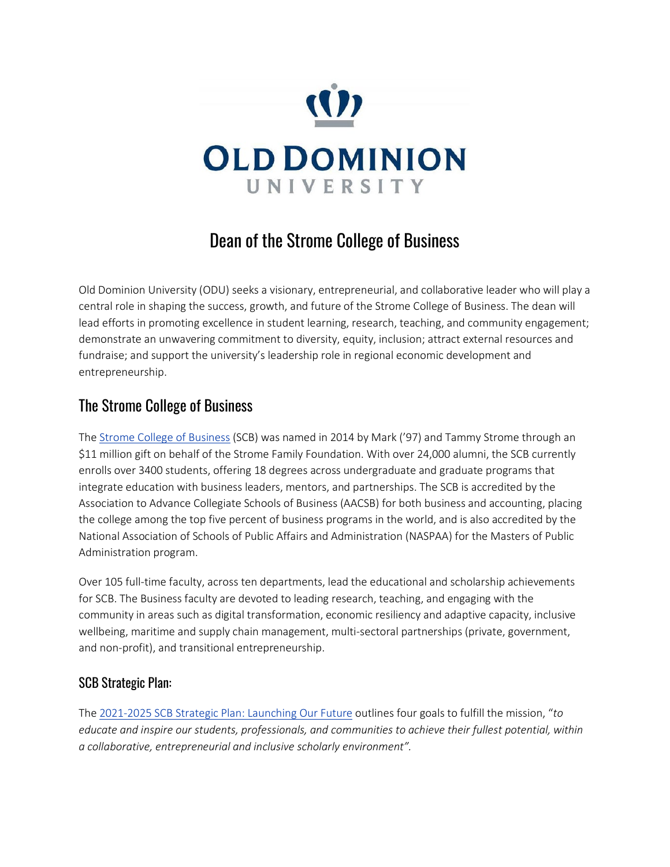

# Dean of the Strome College of Business

Old Dominion University (ODU) seeks a visionary, entrepreneurial, and collaborative leader who will play a central role in shaping the success, growth, and future of the Strome College of Business. The dean will lead efforts in promoting excellence in student learning, research, teaching, and community engagement; demonstrate an unwavering commitment to diversity, equity, inclusion; attract external resources and fundraise; and support the university's leadership role in regional economic development and entrepreneurship.

#### The Strome College of Business

The [Strome College of Business](https://www.odu.edu/business) (SCB) was named in 2014 by Mark ('97) and Tammy Strome through an \$11 million gift on behalf of the Strome Family Foundation. With over 24,000 alumni, the SCB currently enrolls over 3400 students, offering 18 degrees across undergraduate and graduate programs that integrate education with business leaders, mentors, and partnerships. The SCB is accredited by the Association to Advance Collegiate Schools of Business (AACSB) for both business and accounting, placing the college among the top five percent of business programs in the world, and is also accredited by the National Association of Schools of Public Affairs and Administration (NASPAA) for the Masters of Public Administration program.

Over 105 full-time faculty, across ten departments, lead the educational and scholarship achievements for SCB. The Business faculty are devoted to leading research, teaching, and engaging with the community in areas such as digital transformation, economic resiliency and adaptive capacity, inclusive wellbeing, maritime and supply chain management, multi-sectoral partnerships (private, government, and non-profit), and transitional entrepreneurship.

#### SCB Strategic Plan:

The [2021-2025 SCB Strategic Plan:](https://www.odu.edu/business/about/strategic-plan) Launching Our Future outlines four goals to fulfill the mission, "*to educate and inspire our students, professionals, and communities to achieve their fullest potential, within a collaborative, entrepreneurial and inclusive scholarly environment".*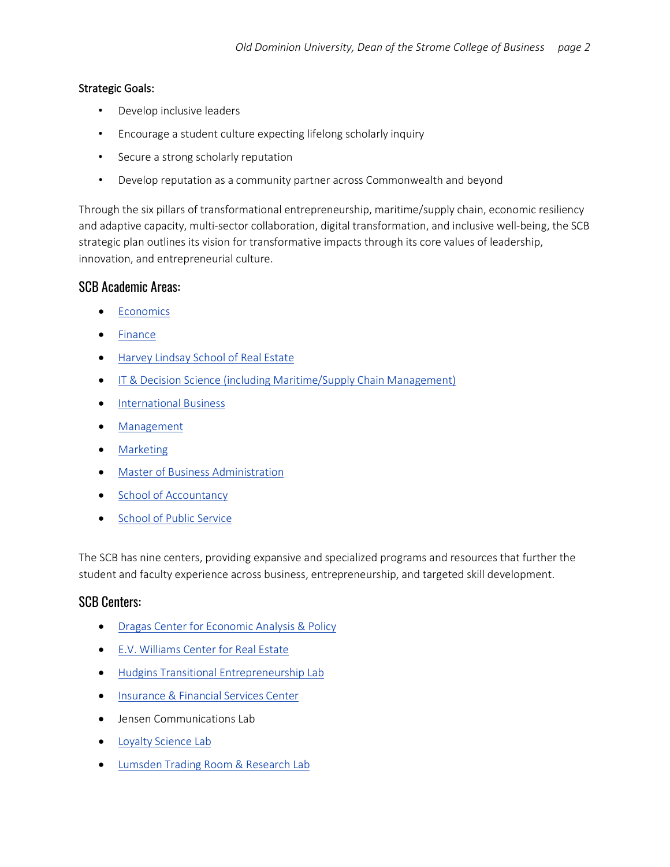#### Strategic Goals:

- Develop inclusive leaders
- Encourage a student culture expecting lifelong scholarly inquiry
- Secure a strong scholarly reputation
- Develop reputation as a community partner across Commonwealth and beyond

Through the six pillars of transformational entrepreneurship, maritime/supply chain, economic resiliency and adaptive capacity, multi-sector collaboration, digital transformation, and inclusive well-being, the SCB strategic plan outlines its vision for transformative impacts through its core values of leadership, innovation, and entrepreneurial culture.

#### SCB Academic Areas:

- [Economics](https://www.odu.edu/business/departments/economics)
- [Finance](https://www.odu.edu/business/departments/financedept)
- [Harvey Lindsay School of Real Estate](https://www.odu.edu/business/departments/realestate)
- IT [& Decision Science](https://www.odu.edu/business/departments/itds) (including Maritime/Supply Chain Management)
- [International Business](https://www.odu.edu/business/departments/intlbus)
- [Management](https://www.odu.edu/business/departments/management)
- [Marketing](https://www.odu.edu/business/departments/mktgdept)
- [Master of Business Administration](https://www.odu.edu/business/departments/mba)
- [School of Accountancy](https://www.odu.edu/business/departments/accounting)
- [School of Public Service](https://www.odu.edu/business/departments/sps)

The SCB has nine centers, providing expansive and specialized programs and resources that further the student and faculty experience across business, entrepreneurship, and targeted skill development.

#### SCB Centers:

- **Dragas Center for Economic Analysis & Policy**
- [E.V. Williams Center for Real Estate](https://www.odu.edu/business/center/evwilliams-center)
- Hudgins Transitional Entrepreneurship Lab
- [Insurance & Financial Services Center](https://www.odu.edu/business/center/insurancectr)
- Jensen Communications Lab
- Loyalty Science Lab
- [Lumsden Trading Room & Research Lab](https://www.odu.edu/business/center/ltr)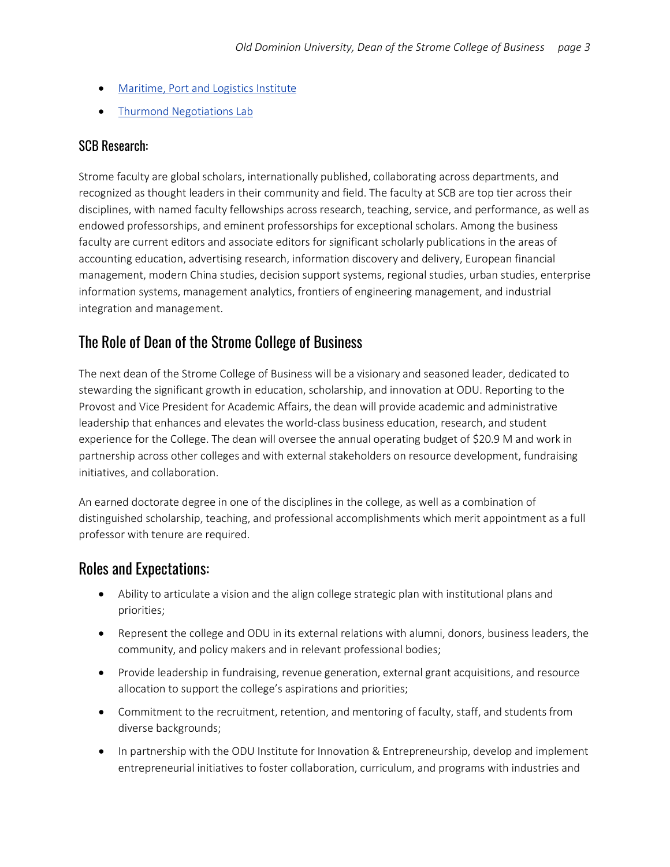- Maritime, Port and Logistics Institute
- [Thurmond Negotiations Lab](https://www.odu.edu/business/center/negotiations)

#### SCB Research:

Strome faculty are global scholars, internationally published, collaborating across departments, and recognized as thought leaders in their community and field. The faculty at SCB are top tier across their disciplines, with named faculty fellowships across research, teaching, service, and performance, as well as endowed professorships, and eminent professorships for exceptional scholars. Among the business faculty are current editors and associate editors for significant scholarly publications in the areas of accounting education, advertising research, information discovery and delivery, European financial management, modern China studies, decision support systems, regional studies, urban studies, enterprise information systems, management analytics, frontiers of engineering management, and industrial integration and management.

### The Role of Dean of the Strome College of Business

The next dean of the Strome College of Business will be a visionary and seasoned leader, dedicated to stewarding the significant growth in education, scholarship, and innovation at ODU. Reporting to the Provost and Vice President for Academic Affairs, the dean will provide academic and administrative leadership that enhances and elevates the world-class business education, research, and student experience for the College. The dean will oversee the annual operating budget of \$20.9 M and work in partnership across other colleges and with external stakeholders on resource development, fundraising initiatives, and collaboration.

An earned doctorate degree in one of the disciplines in the college, as well as a combination of distinguished scholarship, teaching, and professional accomplishments which merit appointment as a full professor with tenure are required.

#### Roles and Expectations:

- Ability to articulate a vision and the align college strategic plan with institutional plans and priorities;
- Represent the college and ODU in its external relations with alumni, donors, business leaders, the community, and policy makers and in relevant professional bodies;
- Provide leadership in fundraising, revenue generation, external grant acquisitions, and resource allocation to support the college's aspirations and priorities;
- Commitment to the recruitment, retention, and mentoring of faculty, staff, and students from diverse backgrounds;
- In partnership with the ODU Institute for Innovation & Entrepreneurship, develop and implement entrepreneurial initiatives to foster collaboration, curriculum, and programs with industries and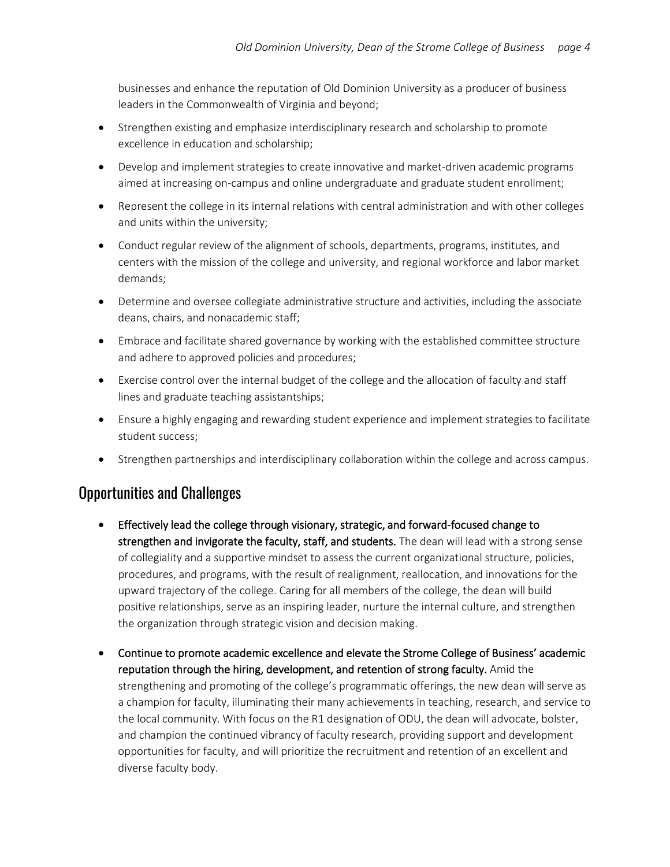businesses and enhance the reputation of Old Dominion University as a producer of business leaders in the Commonwealth of Virginia and beyond;

- Strengthen existing and emphasize interdisciplinary research and scholarship to promote excellence in education and scholarship;
- Develop and implement strategies to create innovative and market-driven academic programs aimed at increasing on-campus and online undergraduate and graduate student enrollment;
- Represent the college in its internal relations with central administration and with other colleges and units within the university;
- Conduct regular review of the alignment of schools, departments, programs, institutes, and centers with the mission of the college and university, and regional workforce and labor market demands;
- Determine and oversee collegiate administrative structure and activities, including the associate deans, chairs, and nonacademic staff;
- Embrace and facilitate shared governance by working with the established committee structure and adhere to approved policies and procedures;
- Exercise control over the internal budget of the college and the allocation of faculty and staff lines and graduate teaching assistantships;
- Ensure a highly engaging and rewarding student experience and implement strategies to facilitate student success;
- Strengthen partnerships and interdisciplinary collaboration within the college and across campus.

### Opportunities and Challenges

- Effectively lead the college through visionary, strategic, and forward-focused change to strengthen and invigorate the faculty, staff, and students. The dean will lead with a strong sense of collegiality and a supportive mindset to assess the current organizational structure, policies, procedures, and programs, with the result of realignment, reallocation, and innovations for the upward trajectory of the college. Caring for all members of the college, the dean will build positive relationships, serve as an inspiring leader, nurture the internal culture, and strengthen the organization through strategic vision and decision making.
- Continue to promote academic excellence and elevate the Strome College of Business' academic reputation through the hiring, development, and retention of strong faculty. Amid the strengthening and promoting of the college's programmatic offerings, the new dean will serve as a champion for faculty, illuminating their many achievements in teaching, research, and service to the local community. With focus on the R1 designation of ODU, the dean will advocate, bolster, and champion the continued vibrancy of faculty research, providing support and development opportunities for faculty, and will prioritize the recruitment and retention of an excellent and diverse faculty body.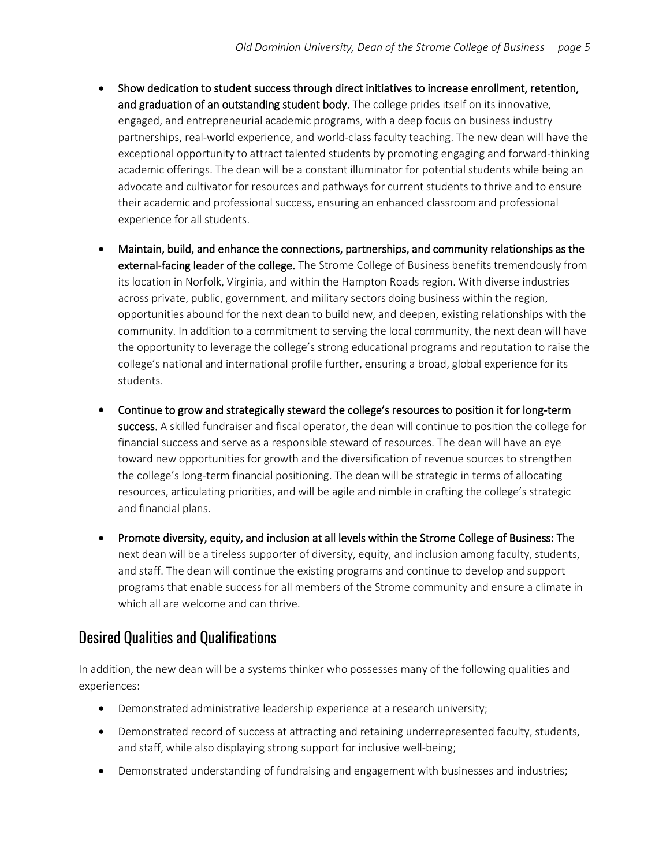- Show dedication to student success through direct initiatives to increase enrollment, retention, and graduation of an outstanding student body. The college prides itself on its innovative, engaged, and entrepreneurial academic programs, with a deep focus on business industry partnerships, real-world experience, and world-class faculty teaching. The new dean will have the exceptional opportunity to attract talented students by promoting engaging and forward-thinking academic offerings. The dean will be a constant illuminator for potential students while being an advocate and cultivator for resources and pathways for current students to thrive and to ensure their academic and professional success, ensuring an enhanced classroom and professional experience for all students.
- Maintain, build, and enhance the connections, partnerships, and community relationships as the external-facing leader of the college. The Strome College of Business benefits tremendously from its location in Norfolk, Virginia, and within the Hampton Roads region. With diverse industries across private, public, government, and military sectors doing business within the region, opportunities abound for the next dean to build new, and deepen, existing relationships with the community. In addition to a commitment to serving the local community, the next dean will have the opportunity to leverage the college's strong educational programs and reputation to raise the college's national and international profile further, ensuring a broad, global experience for its students.
- Continue to grow and strategically steward the college's resources to position it for long-term success. A skilled fundraiser and fiscal operator, the dean will continue to position the college for financial success and serve as a responsible steward of resources. The dean will have an eye toward new opportunities for growth and the diversification of revenue sources to strengthen the college's long-term financial positioning. The dean will be strategic in terms of allocating resources, articulating priorities, and will be agile and nimble in crafting the college's strategic and financial plans.
- Promote diversity, equity, and inclusion at all levels within the Strome College of Business: The next dean will be a tireless supporter of diversity, equity, and inclusion among faculty, students, and staff. The dean will continue the existing programs and continue to develop and support programs that enable success for all members of the Strome community and ensure a climate in which all are welcome and can thrive.

### Desired Qualities and Qualifications

In addition, the new dean will be a systems thinker who possesses many of the following qualities and experiences:

- Demonstrated administrative leadership experience at a research university;
- Demonstrated record of success at attracting and retaining underrepresented faculty, students, and staff, while also displaying strong support for inclusive well-being;
- Demonstrated understanding of fundraising and engagement with businesses and industries;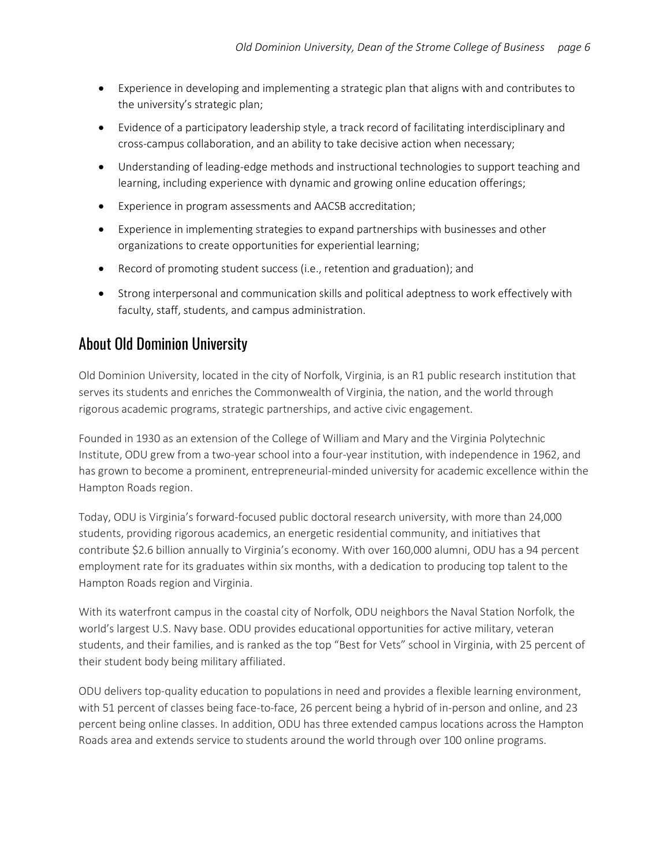- Experience in developing and implementing a strategic plan that aligns with and contributes to the university's strategic plan;
- Evidence of a participatory leadership style, a track record of facilitating interdisciplinary and cross-campus collaboration, and an ability to take decisive action when necessary;
- Understanding of leading-edge methods and instructional technologies to support teaching and learning, including experience with dynamic and growing online education offerings;
- Experience in program assessments and AACSB accreditation;
- Experience in implementing strategies to expand partnerships with businesses and other organizations to create opportunities for experiential learning;
- Record of promoting student success (i.e., retention and graduation); and
- Strong interpersonal and communication skills and political adeptness to work effectively with faculty, staff, students, and campus administration.

### About Old Dominion University

Old Dominion University, located in the city of Norfolk, Virginia, is an R1 public research institution that serves its students and enriches the Commonwealth of Virginia, the nation, and the world through rigorous academic programs, strategic partnerships, and active civic engagement.

Founded in 1930 as an extension of the College of William and Mary and the Virginia Polytechnic Institute, ODU grew from a two-year school into a four-year institution, with independence in 1962, and has grown to become a prominent, entrepreneurial-minded university for academic excellence within the Hampton Roads region.

Today, ODU is Virginia's forward-focused public doctoral research university, with more than 24,000 students, providing rigorous academics, an energetic residential community, and initiatives that contribute \$2.6 billion annually to Virginia's economy. With over 160,000 alumni, ODU has a 94 percent employment rate for its graduates within six months, with a dedication to producing top talent to the Hampton Roads region and Virginia.

With its waterfront campus in the coastal city of Norfolk, ODU neighbors the Naval Station Norfolk, the world's largest U.S. Navy base. ODU provides educational opportunities for active military, veteran students, and their families, and is ranked as the top "Best for Vets" school in Virginia, with 25 percent of their student body being military affiliated.

ODU delivers top-quality education to populations in need and provides a flexible learning environment, with 51 percent of classes being face-to-face, 26 percent being a hybrid of in-person and online, and 23 percent being online classes. In addition, ODU has three extended campus locations across the Hampton Roads area and extends service to students around the world through over 100 online programs.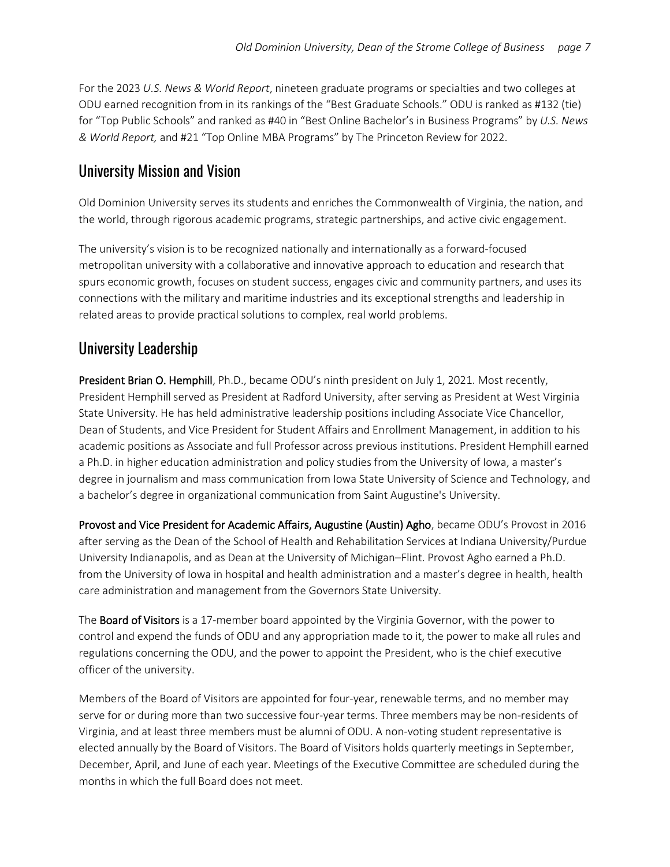For the 2023 *U.S. News & World Report*, nineteen graduate programs or specialties and two colleges at ODU earned recognition from in its rankings of the "Best Graduate Schools." ODU is ranked as #132 (tie) for "Top Public Schools" and ranked as #40 in "Best Online Bachelor's in Business Programs" by *U.S. News & World Report,* and #21 "Top Online MBA Programs" by The Princeton Review for 2022.

### University Mission and Vision

Old Dominion University serves its students and enriches the Commonwealth of Virginia, the nation, and the world, through rigorous academic programs, strategic partnerships, and active civic engagement.

The university's vision is to be recognized nationally and internationally as a forward-focused metropolitan university with a collaborative and innovative approach to education and research that spurs economic growth, focuses on student success, engages civic and community partners, and uses its connections with the military and maritime industries and its exceptional strengths and leadership in related areas to provide practical solutions to complex, real world problems.

### University Leadership

President Brian O. Hemphill, Ph.D., became ODU's ninth president on July 1, 2021. Most recently, President Hemphill served as President at Radford University, after serving as President at West Virginia State University. He has held administrative leadership positions including Associate Vice Chancellor, Dean of Students, and Vice President for Student Affairs and Enrollment Management, in addition to his academic positions as Associate and full Professor across previous institutions. President Hemphill earned a Ph.D. in higher education administration and policy studies from the University of Iowa, a master's degree in journalism and mass communication from Iowa State University of Science and Technology, and a bachelor's degree in organizational communication from Saint Augustine's University.

Provost and Vice President for Academic Affairs, Augustine (Austin) Agho, became ODU's Provost in 2016 after serving as the Dean of the School of Health and Rehabilitation Services at Indiana University/Purdue University Indianapolis, and as Dean at the University of Michigan–Flint. Provost Agho earned a Ph.D. from the University of Iowa in hospital and health administration and a master's degree in health, health care administration and management from the Governors State University.

The **Board of Visitors** is a 17-member board appointed by the Virginia Governor, with the power to control and expend the funds of ODU and any appropriation made to it, the power to make all rules and regulations concerning the ODU, and the power to appoint the President, who is the chief executive officer of the university.

Members of the Board of Visitors are appointed for four-year, renewable terms, and no member may serve for or during more than two successive four-year terms. Three members may be non-residents of Virginia, and at least three members must be alumni of ODU. A non-voting student representative is elected annually by the Board of Visitors. The Board of Visitors holds quarterly meetings in September, December, April, and June of each year. Meetings of the Executive Committee are scheduled during the months in which the full Board does not meet.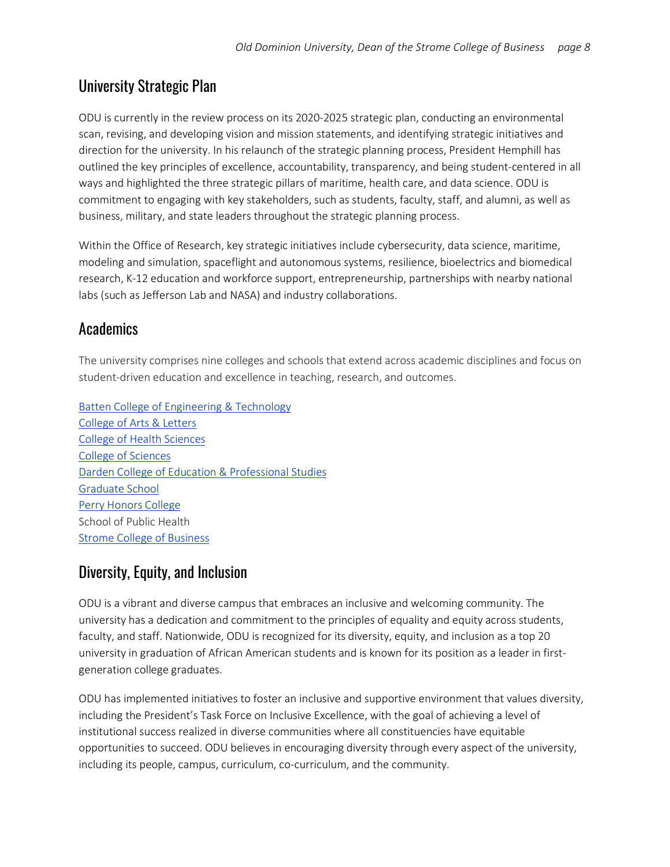# University Strategic Plan

ODU is currently in the review process on its 2020-2025 strategic plan, conducting an environmental scan, revising, and developing vision and mission statements, and identifying strategic initiatives and direction for the university. In his relaunch of the strategic planning process, President Hemphill has outlined the key principles of excellence, accountability, transparency, and being student-centered in all ways and highlighted the three strategic pillars of maritime, health care, and data science. ODU is commitment to engaging with key stakeholders, such as students, faculty, staff, and alumni, as well as business, military, and state leaders throughout the strategic planning process.

Within the Office of Research, key strategic initiatives include cybersecurity, data science, maritime, modeling and simulation, spaceflight and autonomous systems, resilience, bioelectrics and biomedical research, K-12 education and workforce support, entrepreneurship, partnerships with nearby national labs (such as Jefferson Lab and NASA) and industry collaborations.

## **Academics**

The university comprises nine colleges and schools that extend across academic disciplines and focus on student-driven education and excellence in teaching, research, and outcomes.

[Batten College of Engineering & Technology](https://www.odu.edu/eng) [College of Arts & Letters](https://www.odu.edu/al) [College of Health Sciences](https://www.odu.edu/hs) [College of Sciences](https://www.odu.edu/sci) [Darden College of Education & Professional Studies](https://www.odu.edu/eps) [Graduate School](https://www.odu.edu/graduateschool) [Perry Honors College](https://www.odu.edu/honors) School of Public Health [Strome College of Business](https://www.odu.edu/business)

# Diversity, Equity, and Inclusion

ODU is a vibrant and diverse campus that embraces an inclusive and welcoming community. The university has a dedication and commitment to the principles of equality and equity across students, faculty, and staff. Nationwide, ODU is recognized for its diversity, equity, and inclusion as a top 20 university in graduation of African American students and is known for its position as a leader in firstgeneration college graduates.

ODU has implemented initiatives to foster an inclusive and supportive environment that values diversity, including the President's Task Force on Inclusive Excellence, with the goal of achieving a level of institutional success realized in diverse communities where all constituencies have equitable opportunities to succeed. ODU believes in encouraging diversity through every aspect of the university, including its people, campus, curriculum, co-curriculum, and the community.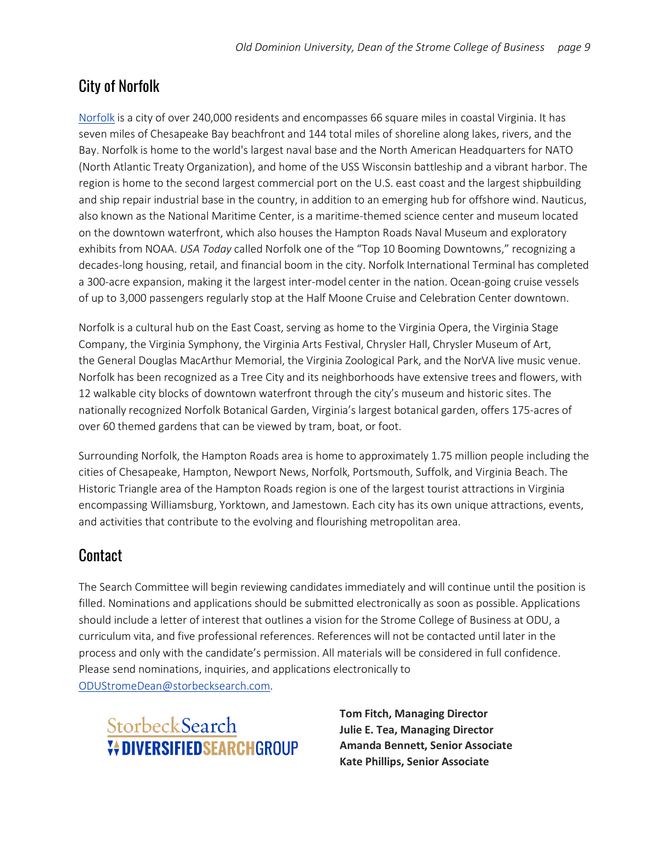# City of Norfolk

[Norfolk](https://www.odu.edu/about/visitors/coastal-virginia) is a city of over 240,000 residents and encompasses 66 square miles in coastal Virginia. It has seven miles of Chesapeake Bay beachfront and 144 total miles of shoreline along lakes, rivers, and the Bay. Norfolk is home to the world's largest naval base and the North American Headquarters for NATO (North Atlantic Treaty Organization), and home of the USS Wisconsin battleship and a vibrant harbor. The region is home to the second largest commercial port on the U.S. east coast and the largest shipbuilding and ship repair industrial base in the country, in addition to an emerging hub for offshore wind. Nauticus, also known as the National Maritime Center, is a maritime-themed science center and museum located on the downtown waterfront, which also houses the Hampton Roads Naval Museum and exploratory exhibits from NOAA. *USA Today* called Norfolk one of the "Top 10 Booming Downtowns," recognizing a decades-long housing, retail, and financial boom in the city. Norfolk International Terminal has completed a 300-acre expansion, making it the largest inter-model center in the nation. Ocean-going cruise vessels of up to 3,000 passengers regularly stop at the Half Moone Cruise and Celebration Center downtown.

Norfolk is a cultural hub on the East Coast, serving as home to the Virginia Opera, the Virginia Stage Company, the Virginia Symphony, the Virginia Arts Festival, Chrysler Hall, Chrysler Museum of Art, the General Douglas MacArthur Memorial, the Virginia Zoological Park, and the NorVA live music venue. Norfolk has been recognized as a Tree City and its neighborhoods have extensive trees and flowers, with 12 walkable city blocks of downtown waterfront through the city's museum and historic sites. The nationally recognized Norfolk Botanical Garden, Virginia's largest botanical garden, offers 175-acres of over 60 themed gardens that can be viewed by tram, boat, or foot.

Surrounding Norfolk, the Hampton Roads area is home to approximately 1.75 million people including the cities of Chesapeake, Hampton, Newport News, Norfolk, Portsmouth, Suffolk, and Virginia Beach. The Historic Triangle area of the Hampton Roads region is one of the largest tourist attractions in Virginia encompassing Williamsburg, Yorktown, and Jamestown. Each city has its own unique attractions, events, and activities that contribute to the evolving and flourishing metropolitan area.

## Contact

The Search Committee will begin reviewing candidates immediately and will continue until the position is filled. Nominations and applications should be submitted electronically as soon as possible. Applications should include a letter of interest that outlines a vision for the Strome College of Business at ODU, a curriculum vita, and five professional references. References will not be contacted until later in the process and only with the candidate's permission. All materials will be considered in full confidence. Please send nominations, inquiries, and applications electronically to [ODUStromeDean@storbecksearch.com.](mailto:ODUStromeDean@storbecksearch.com)

# StorbeckSearch *V***ADIVERSIFIEDSFARCHGROUP**

**Tom Fitch, Managing Director Julie E. Tea, Managing Director Amanda Bennett, Senior Associate Kate Phillips, Senior Associate**